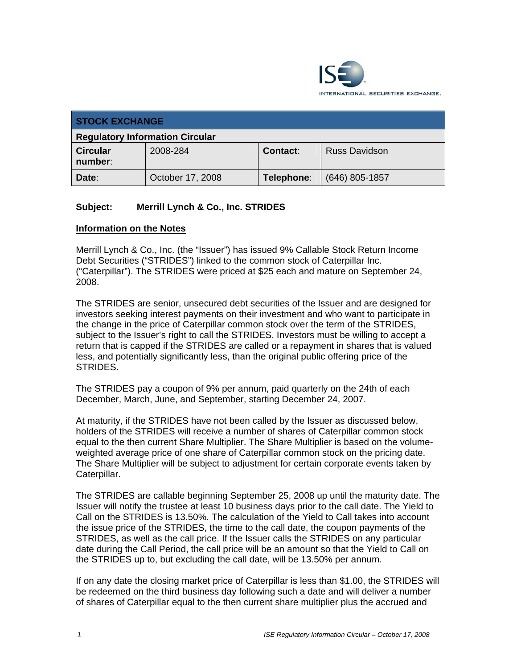

| <b>STOCK EXCHANGE</b>                  |                  |            |                      |  |  |
|----------------------------------------|------------------|------------|----------------------|--|--|
| <b>Regulatory Information Circular</b> |                  |            |                      |  |  |
| <b>Circular</b><br>number:             | 2008-284         | Contact:   | <b>Russ Davidson</b> |  |  |
| Date:                                  | October 17, 2008 | Telephone: | $(646)$ 805-1857     |  |  |

## **Subject: Merrill Lynch & Co., Inc. STRIDES**

## **Information on the Notes**

Merrill Lynch & Co., Inc. (the "Issuer") has issued 9% Callable Stock Return Income Debt Securities ("STRIDES") linked to the common stock of Caterpillar Inc. ("Caterpillar"). The STRIDES were priced at \$25 each and mature on September 24, 2008.

The STRIDES are senior, unsecured debt securities of the Issuer and are designed for investors seeking interest payments on their investment and who want to participate in the change in the price of Caterpillar common stock over the term of the STRIDES, subject to the Issuer's right to call the STRIDES. Investors must be willing to accept a return that is capped if the STRIDES are called or a repayment in shares that is valued less, and potentially significantly less, than the original public offering price of the STRIDES.

The STRIDES pay a coupon of 9% per annum, paid quarterly on the 24th of each December, March, June, and September, starting December 24, 2007.

At maturity, if the STRIDES have not been called by the Issuer as discussed below, holders of the STRIDES will receive a number of shares of Caterpillar common stock equal to the then current Share Multiplier. The Share Multiplier is based on the volumeweighted average price of one share of Caterpillar common stock on the pricing date. The Share Multiplier will be subject to adjustment for certain corporate events taken by Caterpillar.

The STRIDES are callable beginning September 25, 2008 up until the maturity date. The Issuer will notify the trustee at least 10 business days prior to the call date. The Yield to Call on the STRIDES is 13.50%. The calculation of the Yield to Call takes into account the issue price of the STRIDES, the time to the call date, the coupon payments of the STRIDES, as well as the call price. If the Issuer calls the STRIDES on any particular date during the Call Period, the call price will be an amount so that the Yield to Call on the STRIDES up to, but excluding the call date, will be 13.50% per annum.

If on any date the closing market price of Caterpillar is less than \$1.00, the STRIDES will be redeemed on the third business day following such a date and will deliver a number of shares of Caterpillar equal to the then current share multiplier plus the accrued and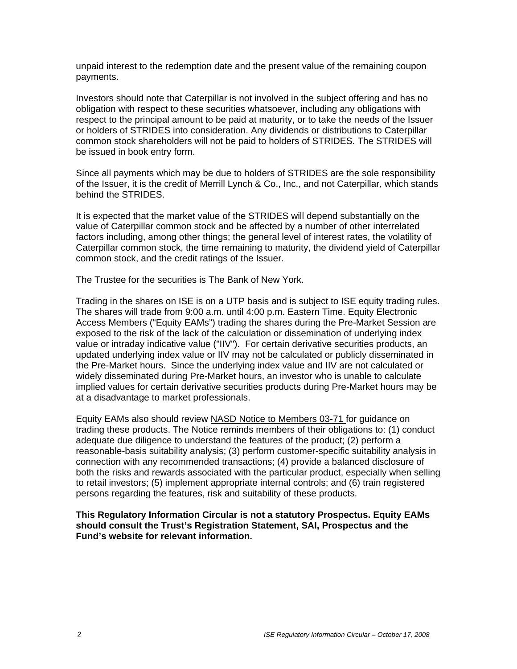unpaid interest to the redemption date and the present value of the remaining coupon payments.

Investors should note that Caterpillar is not involved in the subject offering and has no obligation with respect to these securities whatsoever, including any obligations with respect to the principal amount to be paid at maturity, or to take the needs of the Issuer or holders of STRIDES into consideration. Any dividends or distributions to Caterpillar common stock shareholders will not be paid to holders of STRIDES. The STRIDES will be issued in book entry form.

Since all payments which may be due to holders of STRIDES are the sole responsibility of the Issuer, it is the credit of Merrill Lynch & Co., Inc., and not Caterpillar, which stands behind the STRIDES.

It is expected that the market value of the STRIDES will depend substantially on the value of Caterpillar common stock and be affected by a number of other interrelated factors including, among other things; the general level of interest rates, the volatility of Caterpillar common stock, the time remaining to maturity, the dividend yield of Caterpillar common stock, and the credit ratings of the Issuer.

The Trustee for the securities is The Bank of New York.

Trading in the shares on ISE is on a UTP basis and is subject to ISE equity trading rules. The shares will trade from 9:00 a.m. until 4:00 p.m. Eastern Time. Equity Electronic Access Members ("Equity EAMs") trading the shares during the Pre-Market Session are exposed to the risk of the lack of the calculation or dissemination of underlying index value or intraday indicative value ("IIV"). For certain derivative securities products, an updated underlying index value or IIV may not be calculated or publicly disseminated in the Pre-Market hours. Since the underlying index value and IIV are not calculated or widely disseminated during Pre-Market hours, an investor who is unable to calculate implied values for certain derivative securities products during Pre-Market hours may be at a disadvantage to market professionals.

Equity EAMs also should review NASD Notice to Members 03-71 for guidance on trading these products. The Notice reminds members of their obligations to: (1) conduct adequate due diligence to understand the features of the product; (2) perform a reasonable-basis suitability analysis; (3) perform customer-specific suitability analysis in connection with any recommended transactions; (4) provide a balanced disclosure of both the risks and rewards associated with the particular product, especially when selling to retail investors; (5) implement appropriate internal controls; and (6) train registered persons regarding the features, risk and suitability of these products.

**This Regulatory Information Circular is not a statutory Prospectus. Equity EAMs should consult the Trust's Registration Statement, SAI, Prospectus and the Fund's website for relevant information.**